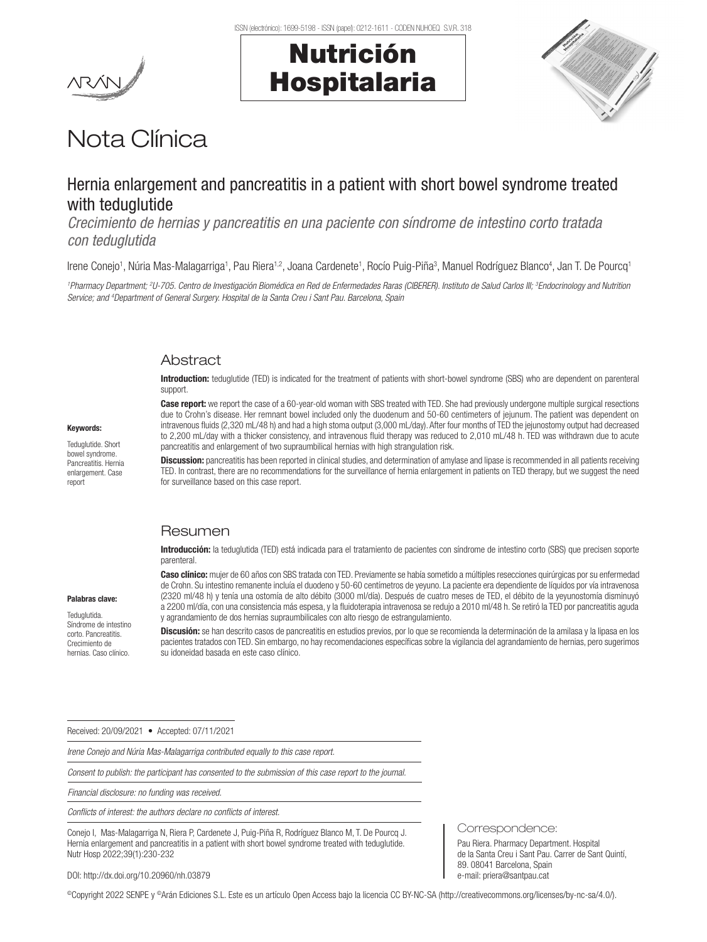Keywords: Teduglutide. Short bowel syndrome. Pancreatitis. Hernia enlargement. Case report

Palabras clave: Teduglutida.

Crecimiento de

# Nutrición Hospitalaria



# Nota Clínica

# Hernia enlargement and pancreatitis in a patient with short bowel syndrome treated with teduglutide

*Crecimiento de hernias y pancreatitis en una paciente con síndrome de intestino corto tratada con teduglutida*

Irene Conejo<sup>1</sup>, Núria Mas-Malagarriga<sup>1</sup>, Pau Riera<sup>1,2</sup>, Joana Cardenete<sup>1</sup>, Rocío Puig-Piña<sup>3</sup>, Manuel Rodríguez Blanco<sup>4</sup>, Jan T. De Pourcq<sup>1</sup>

*1 Pharmacy Department; 2 U-705. Centro de Investigación Biomédica en Red de Enfermedades Raras (CIBERER). Instituto de Salud Carlos III; 3 Endocrinology and Nutrition Service; and 4 Department of General Surgery. Hospital de la Santa Creu i Sant Pau. Barcelona, Spain*

### Abstract

Introduction: teduglutide (TED) is indicated for the treatment of patients with short-bowel syndrome (SBS) who are dependent on parenteral support.

Case report: we report the case of a 60-year-old woman with SBS treated with TED. She had previously undergone multiple surgical resections due to Crohn's disease. Her remnant bowel included only the duodenum and 50-60 centimeters of jejunum. The patient was dependent on intravenous fluids (2,320 mL/48 h) and had a high stoma output (3,000 mL/day). After four months of TED the jejunostomy output had decreased to 2,200 mL/day with a thicker consistency, and intravenous fluid therapy was reduced to 2,010 mL/48 h. TED was withdrawn due to acute pancreatitis and enlargement of two supraumbilical hernias with high strangulation risk.

Discussion: pancreatitis has been reported in clinical studies, and determination of amylase and lipase is recommended in all patients receiving TED. In contrast, there are no recommendations for the surveillance of hernia enlargement in patients on TED therapy, but we suggest the need for surveillance based on this case report.

## Resumen

Introducción: la teduglutida (TED) está indicada para el tratamiento de pacientes con síndrome de intestino corto (SBS) que precisen soporte parenteral.

Caso clínico: mujer de 60 años con SBS tratada con TED. Previamente se había sometido a múltiples resecciones quirúrgicas por su enfermedad de Crohn. Su intestino remanente incluía el duodeno y 50-60 centímetros de yeyuno. La paciente era dependiente de líquidos por vía intravenosa (2320 ml/48 h) y tenía una ostomía de alto débito (3000 ml/día). Después de cuatro meses de TED, el débito de la yeyunostomía disminuyó a 2200 ml/día, con una consistencia más espesa, y la fluidoterapia intravenosa se redujo a 2010 ml/48 h. Se retiró la TED por pancreatitis aguda y agrandamiento de dos hernias supraumbilicales con alto riesgo de estrangulamiento.

Discusión: se han descrito casos de pancreatitis en estudios previos, por lo que se recomienda la determinación de la amilasa y la lipasa en los pacientes tratados con TED. Sin embargo, no hay recomendaciones específicas sobre la vigilancia del agrandamiento de hernias, pero sugerimos su idoneidad basada en este caso clínico. Síndrome de intestino corto. Pancreatitis. hernias. Caso clínico.

Received: 20/09/2021 • Accepted: 07/11/2021

*Irene Conejo and Núria Mas-Malagarriga contributed equally to this case report.* 

*Consent to publish: the participant has consented to the submission of this case report to the journal.*

*Financial disclosure: no funding was received.* 

*Conflicts of interest: the authors declare no conflicts of interest.*

Conejo I, Mas-Malagarriga N, Riera P, Cardenete J, Puig-Piña R, Rodríguez Blanco M, T. De Pourcq J. Hernia enlargement and pancreatitis in a patient with short bowel syndrome treated with teduglutide. Nutr Hosp 2022;39(1):230-232

Correspondence:

Pau Riera. Pharmacy Department. Hospital de la Santa Creu i Sant Pau. Carrer de Sant Quintí, 89. 08041 Barcelona, Spain e-mail: priera@santpau.cat

DOI: http://dx.doi.org/10.20960/nh.03879

©Copyright 2022 SENPE y ©Arán Ediciones S.L. Este es un artículo Open Access bajo la licencia CC BY-NC-SA (http://creativecommons.org/licenses/by-nc-sa/4.0/).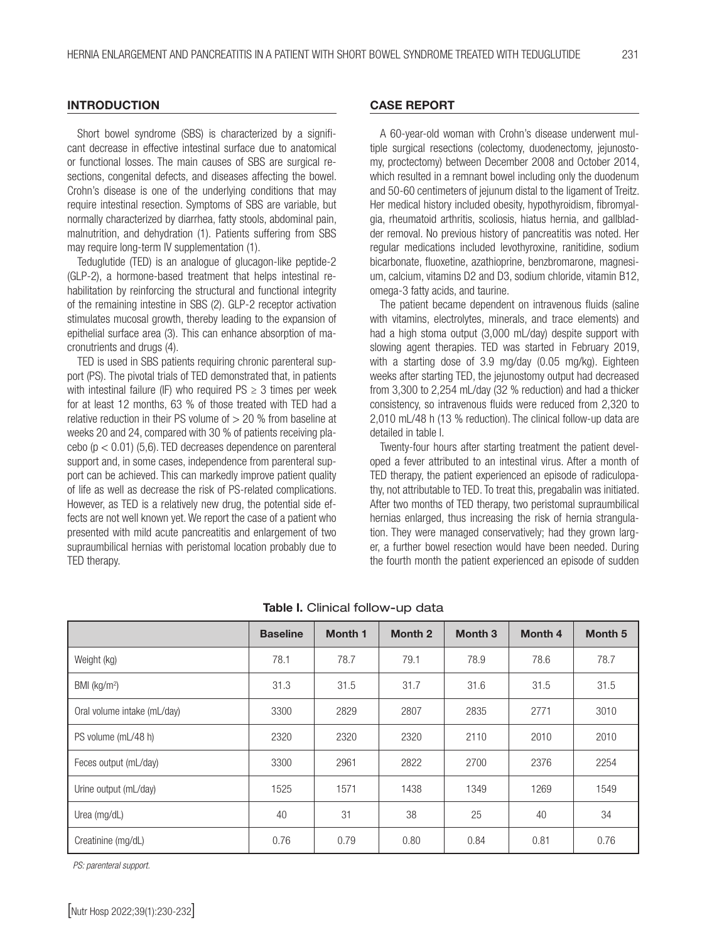### **INTRODUCTION**

Short bowel syndrome (SBS) is characterized by a significant decrease in effective intestinal surface due to anatomical or functional losses. The main causes of SBS are surgical resections, congenital defects, and diseases affecting the bowel. Crohn's disease is one of the underlying conditions that may require intestinal resection. Symptoms of SBS are variable, but normally characterized by diarrhea, fatty stools, abdominal pain, malnutrition, and dehydration (1). Patients suffering from SBS may require long-term IV supplementation (1).

Teduglutide (TED) is an analogue of glucagon-like peptide-2 (GLP-2), a hormone-based treatment that helps intestinal rehabilitation by reinforcing the structural and functional integrity of the remaining intestine in SBS (2). GLP-2 receptor activation stimulates mucosal growth, thereby leading to the expansion of epithelial surface area (3). This can enhance absorption of macronutrients and drugs (4).

TED is used in SBS patients requiring chronic parenteral support (PS). The pivotal trials of TED demonstrated that, in patients with intestinal failure (IF) who required  $PS \geq 3$  times per week for at least 12 months, 63 % of those treated with TED had a relative reduction in their PS volume of  $> 20$  % from baseline at weeks 20 and 24, compared with 30 % of patients receiving placebo ( $p < 0.01$ ) (5,6). TED decreases dependence on parenteral support and, in some cases, independence from parenteral support can be achieved. This can markedly improve patient quality of life as well as decrease the risk of PS-related complications. However, as TED is a relatively new drug, the potential side effects are not well known yet. We report the case of a patient who presented with mild acute pancreatitis and enlargement of two supraumbilical hernias with peristomal location probably due to TED therapy.

#### CASE REPORT

A 60-year-old woman with Crohn's disease underwent multiple surgical resections (colectomy, duodenectomy, jejunostomy, proctectomy) between December 2008 and October 2014, which resulted in a remnant bowel including only the duodenum and 50-60 centimeters of jejunum distal to the ligament of Treitz. Her medical history included obesity, hypothyroidism, fibromyalgia, rheumatoid arthritis, scoliosis, hiatus hernia, and gallbladder removal. No previous history of pancreatitis was noted. Her regular medications included levothyroxine, ranitidine, sodium bicarbonate, fluoxetine, azathioprine, benzbromarone, magnesium, calcium, vitamins D2 and D3, sodium chloride, vitamin B12, omega-3 fatty acids, and taurine.

The patient became dependent on intravenous fluids (saline with vitamins, electrolytes, minerals, and trace elements) and had a high stoma output (3,000 mL/day) despite support with slowing agent therapies. TED was started in February 2019, with a starting dose of 3.9 mg/day (0.05 mg/kg). Eighteen weeks after starting TED, the jejunostomy output had decreased from 3,300 to 2,254 mL/day (32 % reduction) and had a thicker consistency, so intravenous fluids were reduced from 2,320 to 2,010 mL/48 h (13 % reduction). The clinical follow-up data are detailed in table I.

Twenty-four hours after starting treatment the patient developed a fever attributed to an intestinal virus. After a month of TED therapy, the patient experienced an episode of radiculopathy, not attributable to TED. To treat this, pregabalin was initiated. After two months of TED therapy, two peristomal supraumbilical hernias enlarged, thus increasing the risk of hernia strangulation. They were managed conservatively; had they grown larger, a further bowel resection would have been needed. During the fourth month the patient experienced an episode of sudden

|                             | <b>Baseline</b> | <b>Month 1</b> | <b>Month 2</b> | <b>Month 3</b> | <b>Month 4</b> | Month <sub>5</sub> |
|-----------------------------|-----------------|----------------|----------------|----------------|----------------|--------------------|
| Weight (kg)                 | 78.1            | 78.7           | 79.1           | 78.9           | 78.6           | 78.7               |
| BMI ( $kg/m2$ )             | 31.3            | 31.5           | 31.7           | 31.6           | 31.5           | 31.5               |
| Oral volume intake (mL/day) | 3300            | 2829           | 2807           | 2835           | 2771           | 3010               |
| PS volume (mL/48 h)         | 2320            | 2320           | 2320           | 2110           | 2010           | 2010               |
| Feces output (mL/day)       | 3300            | 2961           | 2822           | 2700           | 2376           | 2254               |
| Urine output (mL/day)       | 1525            | 1571           | 1438           | 1349           | 1269           | 1549               |
| Urea (mg/dL)                | 40              | 31             | 38             | 25             | 40             | 34                 |
| Creatinine (mg/dL)          | 0.76            | 0.79           | 0.80           | 0.84           | 0.81           | 0.76               |

#### Table I. Clinical follow-up data

*PS: parenteral support.*